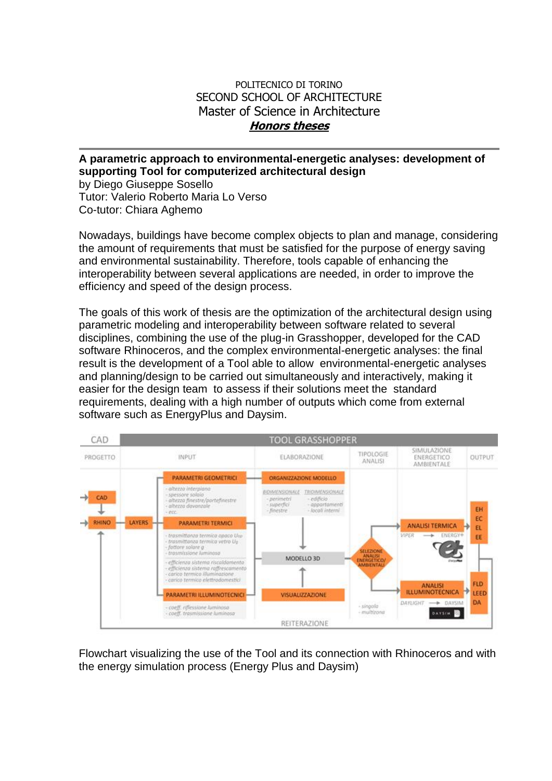## POLITECNICO DI TORINO SECOND SCHOOL OF ARCHITECTURE Master of Science in Architecture **Honors theses**

## **A parametric approach to environmental-energetic analyses: development of supporting Tool for computerized architectural design**

by Diego Giuseppe Sosello Tutor: Valerio Roberto Maria Lo Verso Co-tutor: Chiara Aghemo

Nowadays, buildings have become complex objects to plan and manage, considering the amount of requirements that must be satisfied for the purpose of energy saving and environmental sustainability. Therefore, tools capable of enhancing the interoperability between several applications are needed, in order to improve the efficiency and speed of the design process.

The goals of this work of thesis are the optimization of the architectural design using parametric modeling and interoperability between software related to several disciplines, combining the use of the plug-in Grasshopper, developed for the CAD software Rhinoceros, and the complex environmental-energetic analyses: the final result is the development of a Tool able to allow environmental-energetic analyses and planning/design to be carried out simultaneously and interactively, making it easier for the design team to assess if their solutions meet the standard requirements, dealing with a high number of outputs which come from external software such as EnergyPlus and Daysim.



Flowchart visualizing the use of the Tool and its connection with Rhinoceros and with the energy simulation process (Energy Plus and Daysim)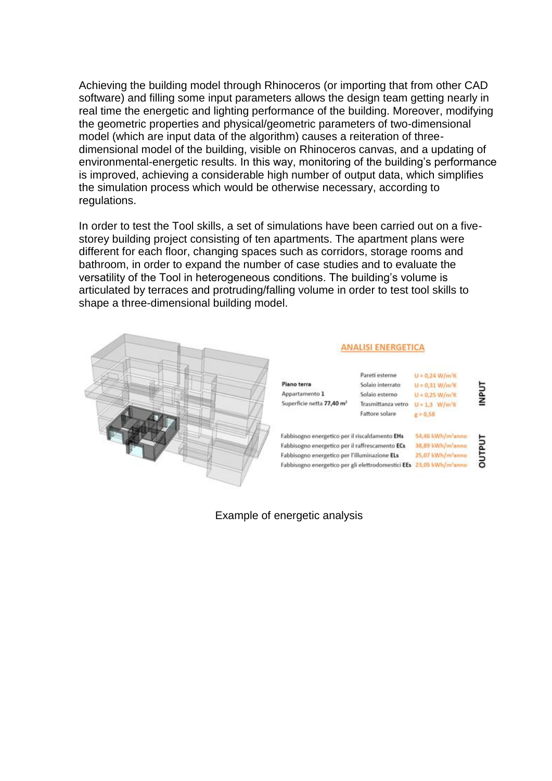Achieving the building model through Rhinoceros (or importing that from other CAD software) and filling some input parameters allows the design team getting nearly in real time the energetic and lighting performance of the building. Moreover, modifying the geometric properties and physical/geometric parameters of two-dimensional model (which are input data of the algorithm) causes a reiteration of threedimensional model of the building, visible on Rhinoceros canvas, and a updating of environmental-energetic results. In this way, monitoring of the building's performance is improved, achieving a considerable high number of output data, which simplifies the simulation process which would be otherwise necessary, according to regulations.

In order to test the Tool skills, a set of simulations have been carried out on a fivestorey building project consisting of ten apartments. The apartment plans were different for each floor, changing spaces such as corridors, storage rooms and bathroom, in order to expand the number of case studies and to evaluate the versatility of the Tool in heterogeneous conditions. The building's volume is articulated by terraces and protruding/falling volume in order to test tool skills to shape a three-dimensional building model.



## **ANALISI ENERGETICA**

|                                                    | Pareti esterne                | $U = 0.24 W/m^2K$             |                  |
|----------------------------------------------------|-------------------------------|-------------------------------|------------------|
| Plano terra                                        | Solaio interrato              | $U = 0.31 W/m'$ K             |                  |
| Appartamento 1                                     | Solaio esterno                | $U = 0.25 W/m^2K$             | INPUT            |
| Superficie netta 77,40 m <sup>2</sup>              | Trasmittanza vetro            | $U = 1.3$ W/m <sup>2</sup> K  |                  |
|                                                    | Fattore solare                | $g = 0.58$                    |                  |
|                                                    |                               |                               |                  |
| Fabbisogno energetico per il riscaldamento EHs     |                               | 54,46 kWh/m <sup>2</sup> anno |                  |
| Fabbisogno energetico per il raffrescamento ECs    | 38,89 kWh/m <sup>2</sup> anno | <b>TUALNO</b>                 |                  |
| Fabbisogno energetico per l'illuminazione ELs      |                               |                               | 25,07 kWh/m'anno |
| Fabbisogno energetico per gli elettrodomestici EEs |                               | 23,05 kWh/m <sup>-</sup> anno |                  |
|                                                    |                               |                               |                  |

Example of energetic analysis